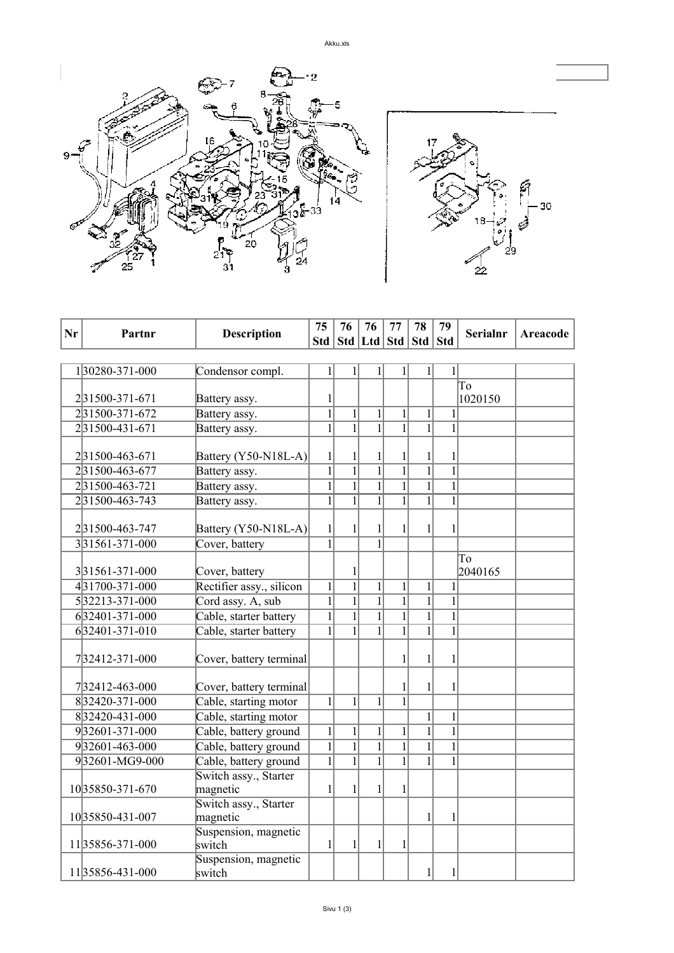

| Nr | Partnr          |                                | 75             | 76             | 76                                | 77                  | 78             | 79             | <b>Serialnr</b> | <b>Areacode</b> |
|----|-----------------|--------------------------------|----------------|----------------|-----------------------------------|---------------------|----------------|----------------|-----------------|-----------------|
|    |                 | <b>Description</b>             |                |                | Std   Std   Ltd   Std   Std   Std |                     |                |                |                 |                 |
|    |                 |                                |                |                |                                   |                     |                |                |                 |                 |
|    | 130280-371-000  | Condensor compl.               | $\mathbf{1}$   | 1              | $\mathbf{1}$                      | 1                   | 1              | $\mathbf{1}$   |                 |                 |
|    |                 |                                |                |                |                                   |                     |                |                | To              |                 |
|    | 231500-371-671  | Battery assy.                  | 1              |                |                                   |                     |                |                | 1020150         |                 |
|    | 231500-371-672  | Battery assy.                  | $\overline{1}$ | $\mathbf{1}$   | $\mathbf{1}$                      | $\mathbf{1}$        | $\mathbf{1}$   | $\mathbf{1}$   |                 |                 |
|    | 231500-431-671  | Battery assy.                  | $\mathbf{1}$   | $\mathbf{1}$   | $\overline{1}$                    | $\overline{1}$      | $\mathbf{1}$   | $\mathbf{1}$   |                 |                 |
|    |                 |                                |                |                |                                   |                     |                |                |                 |                 |
|    | 231500-463-671  | Battery (Y50-N18L-A)           | $\mathbf{1}$   | 1              | 1                                 | 1                   | 1              | 1              |                 |                 |
|    | 231500-463-677  | Battery assy.                  | $\overline{1}$ | $\overline{1}$ | $\overline{1}$                    | $\overline{1}$      | $\overline{1}$ | $\overline{1}$ |                 |                 |
|    | 231500-463-721  | Battery assy.                  | $\mathbf{1}$   | $\mathbf{1}$   | $\overline{1}$                    | $\overline{1}$      | $\mathbf{1}$   | $\mathbf{1}$   |                 |                 |
|    | 231500-463-743  | Battery assy.                  | $\overline{1}$ | $\mathbf{1}$   | $\overline{1}$                    | $\overline{1}$      | $\overline{1}$ | $\overline{1}$ |                 |                 |
|    |                 |                                |                |                |                                   |                     |                |                |                 |                 |
|    | 231500-463-747  | Battery (Y50-N18L-A)           | $\mathbf{1}$   | $\mathbf{1}$   | $\mathbf{1}$                      | 1                   | 1              | $\mathbf{1}$   |                 |                 |
|    | 331561-371-000  | Cover, battery                 | $\overline{1}$ |                | $\overline{1}$                    |                     |                |                |                 |                 |
|    |                 |                                |                |                |                                   |                     |                |                | To              |                 |
|    | 331561-371-000  | Cover, battery                 |                | 1              |                                   |                     |                |                | 2040165         |                 |
|    | 431700-371-000  | Rectifier assy., silicon       | $\mathbf{1}$   | $\overline{1}$ | $\mathbf{1}$                      | $\mathbf{1}$        | $\mathbf{1}$   | $\mathbf{1}$   |                 |                 |
|    | 532213-371-000  | Cord assy. A, sub              | $\overline{1}$ | $\mathbf{1}$   | $\overline{1}$                    | $\mathbf{1}$        | $\mathbf{1}$   | $\overline{1}$ |                 |                 |
|    | 632401-371-000  | Cable, starter battery         | $\mathbf{1}$   | $\mathbf{1}$   | $\mathbf{1}$                      | $\mathbf{1}$        | $\mathbf{1}$   | $\mathbf{1}$   |                 |                 |
|    | 632401-371-010  | Cable, starter battery         | $\mathbf{1}$   | $\mathbf{1}$   | $\mathbf{1}$                      | $\mathbf{1}$        | $\mathbf{1}$   | $\mathbf{1}$   |                 |                 |
|    |                 |                                |                |                |                                   |                     |                |                |                 |                 |
|    | 732412-371-000  | Cover, battery terminal        |                |                |                                   | 1                   | 1              | 1              |                 |                 |
|    |                 |                                |                |                |                                   |                     |                |                |                 |                 |
|    | 732412-463-000  | Cover, battery terminal        |                |                |                                   | 1<br>$\overline{1}$ | 1              | 1              |                 |                 |
|    | 832420-371-000  | Cable, starting motor          | $1\vert$       | $\mathbf{1}$   | $\mathbf{1}$                      |                     |                |                |                 |                 |
|    | 832420-431-000  | Cable, starting motor          |                |                |                                   |                     | $\mathbf{1}$   | $\mathbf{1}$   |                 |                 |
|    | 932601-371-000  | Cable, battery ground          | $1\vert$       | $\mathbf{1}$   | $\mathbf{1}$                      | $\mathbf{1}$        | $\overline{1}$ | $\overline{1}$ |                 |                 |
|    | 932601-463-000  | Cable, battery ground          | $\overline{1}$ | $\overline{1}$ | $\overline{1}$                    | $\overline{1}$      | $\overline{1}$ | $\overline{1}$ |                 |                 |
|    | 932601-MG9-000  | Cable, battery ground          | $\overline{1}$ | $\mathbf{1}$   | $\overline{1}$                    | $\overline{1}$      | $\mathbf{1}$   | $\mathbf{1}$   |                 |                 |
|    |                 | Switch assy., Starter          |                |                |                                   |                     |                |                |                 |                 |
|    | 1035850-371-670 | magnetic                       | $\mathbf{1}$   | $\mathbf{1}$   | $\mathbf{1}$                      | $\mathbf{1}$        |                |                |                 |                 |
|    |                 | Switch assy., Starter          |                |                |                                   |                     |                |                |                 |                 |
|    | 1035850-431-007 | magnetic                       |                |                |                                   |                     | 1              | 1              |                 |                 |
|    | 1135856-371-000 | Suspension, magnetic<br>switch | $\mathbf{1}$   | $\mathbf{1}$   | $\mathbf{1}$                      | $\mathbf{1}$        |                |                |                 |                 |
|    |                 | Suspension, magnetic           |                |                |                                   |                     |                |                |                 |                 |
|    | 1135856-431-000 | switch                         |                |                |                                   |                     | $\mathbf{1}$   | $\mathbf{1}$   |                 |                 |
|    |                 |                                |                |                |                                   |                     |                |                |                 |                 |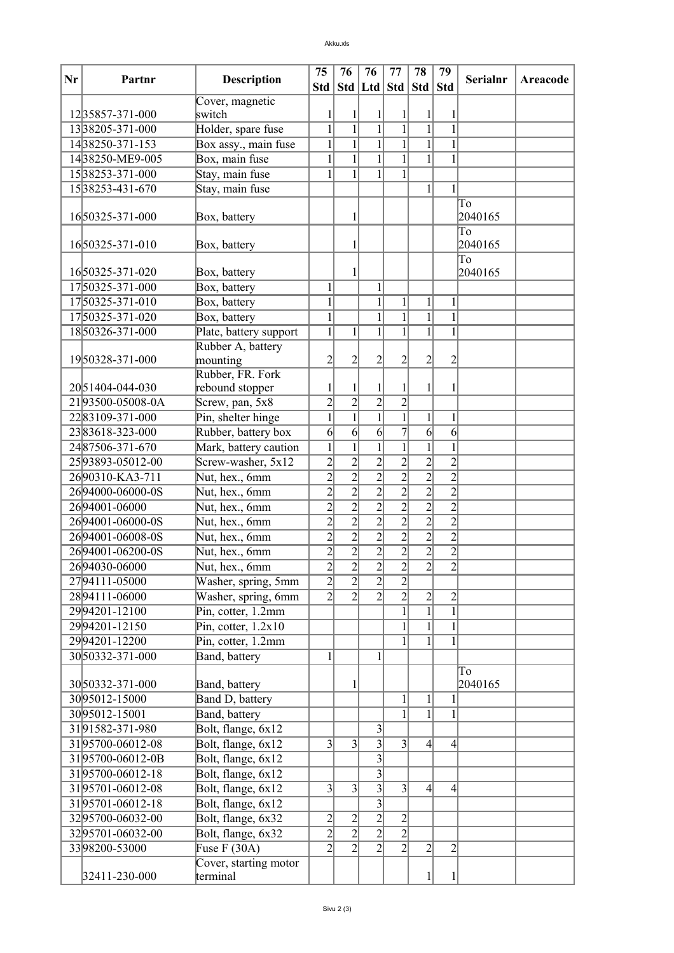## Akku.xls

|    |                  |                                             | 75             | 76              | 76                    | 77             | 78               | 79                  |                 |          |
|----|------------------|---------------------------------------------|----------------|-----------------|-----------------------|----------------|------------------|---------------------|-----------------|----------|
| Nr | Partnr           | <b>Description</b>                          |                |                 | Std   Std   Ltd   Std |                | Std              | <b>Std</b>          | <b>Serialnr</b> | Areacode |
|    |                  | Cover, magnetic                             |                |                 |                       |                |                  |                     |                 |          |
|    | 1235857-371-000  | switch                                      | 1              |                 | 1                     |                |                  |                     |                 |          |
|    | 1338205-371-000  | Holder, spare fuse                          | $\mathbf{1}$   | $\mathbf{1}$    | $\overline{1}$        | $\overline{1}$ | $\mathbf{1}$     | $\mathbf{1}$        |                 |          |
|    | 1438250-371-153  | Box assy., main fuse                        | $\mathbf{1}$   | $\mathbf{1}$    | $\overline{1}$        | $\overline{1}$ | $\mathbf{1}$     | $\mathbf{1}$        |                 |          |
|    | 1438250-ME9-005  | Box, main fuse                              | $\mathbf{1}$   | $\mathbf{1}$    | $\mathbf{1}$          | $\mathbf{1}$   | $\mathbf{1}$     | $\mathbf{1}$        |                 |          |
|    | 1538253-371-000  | Stay, main fuse                             | 1              | 1               | $\mathbf{1}$          | $\mathbf{1}$   |                  |                     |                 |          |
|    | 1538253-431-670  | Stay, main fuse                             |                |                 |                       |                | $\mathbf{1}$     | 1                   |                 |          |
|    |                  |                                             |                |                 |                       |                |                  |                     | To              |          |
|    | 1650325-371-000  | Box, battery                                |                |                 |                       |                |                  |                     | 2040165         |          |
|    |                  |                                             |                |                 |                       |                |                  |                     | To              |          |
|    | 1650325-371-010  | Box, battery                                |                |                 |                       |                |                  |                     | 2040165         |          |
|    | 1650325-371-020  |                                             |                |                 |                       |                |                  |                     | To              |          |
|    | 1750325-371-000  | Box, battery<br>Box, battery                | $\mathbf{1}$   |                 | $\mathbf{1}$          |                |                  |                     | 2040165         |          |
|    | 1750325-371-010  |                                             | $\mathbf{1}$   |                 | $\mathbf{1}$          | $\mathbf{1}$   | 1                |                     |                 |          |
|    | 1750325-371-020  | Box, battery                                | $\mathbf{1}$   |                 | $\overline{1}$        | $\overline{1}$ |                  | 1<br>$\overline{1}$ |                 |          |
|    | 1850326-371-000  | Box, battery                                | $\mathbf{1}$   |                 | $\mathbf{1}$          | $\mathbf{1}$   | 1                | 1                   |                 |          |
|    |                  | Plate, battery support<br>Rubber A, battery |                | 1               |                       |                |                  |                     |                 |          |
|    | 1950328-371-000  | mounting                                    | $\overline{c}$ | 2               | $\overline{c}$        | 2              | 2                | $\overline{c}$      |                 |          |
|    |                  | Rubber, FR. Fork                            |                |                 |                       |                |                  |                     |                 |          |
|    | 2051404-044-030  | rebound stopper                             | 1              |                 | 1                     | 1              | 1                | 1                   |                 |          |
|    | 2193500-05008-0A | Screw, pan, 5x8                             | $\overline{2}$ | $\overline{2}$  | $\overline{2}$        | $\overline{2}$ |                  |                     |                 |          |
|    | 2283109-371-000  | Pin, shelter hinge                          | $\overline{1}$ | $\mathbf{1}$    | $\mathbf{1}$          | $\overline{1}$ | $\mathbf{1}$     | $\mathbf{1}$        |                 |          |
|    | 2383618-323-000  | Rubber, battery box                         | $\overline{6}$ | $\vert 6 \vert$ | $\vert 6 \vert$       | $\overline{7}$ | $\mathbf{6}$     | $\overline{6}$      |                 |          |
|    | 2487506-371-670  | Mark, battery caution                       | $\mathbf{1}$   | $\mathbf{1}$    | $\mathbf{1}$          | $\overline{1}$ | $\mathbf{1}$     | $\mathbf{1}$        |                 |          |
|    | 2593893-05012-00 | Screw-washer, 5x12                          | $\overline{2}$ | $\overline{2}$  | $\overline{2}$        | $\overline{2}$ | $\overline{c}$   | $\overline{2}$      |                 |          |
|    | 2690310-KA3-711  | Nut, hex., 6mm                              | $\overline{2}$ | $\overline{2}$  | $\overline{2}$        | $\overline{2}$ | $\overline{2}$   | $\overline{2}$      |                 |          |
|    | 2694000-06000-0S | Nut, hex., 6mm                              | $\overline{2}$ | $\overline{2}$  | $\overline{2}$        | $\overline{2}$ | $\overline{2}$   | $\overline{2}$      |                 |          |
|    | 2694001-06000    | Nut, hex., 6mm                              | $\overline{2}$ | $\overline{2}$  | $\overline{2}$        | $\overline{2}$ | $\overline{2}$   | $\overline{2}$      |                 |          |
|    | 2694001-06000-0S | Nut, hex., 6mm                              | $\overline{2}$ | $\overline{2}$  | $\overline{2}$        | $\overline{2}$ | $\overline{2}$   | $\overline{2}$      |                 |          |
|    | 2694001-06008-0S | Nut, hex., 6mm                              | $\overline{2}$ | $\overline{2}$  | $\overline{2}$        | $\overline{2}$ | $\overline{2}$   | $\overline{2}$      |                 |          |
|    | 2694001-06200-0S | Nut, hex., 6mm                              | $\overline{2}$ | $\overline{2}$  | $\overline{2}$        | $\overline{2}$ | $\overline{2}$   | $\overline{2}$      |                 |          |
|    | 2694030-06000    | Nut, hex., 6mm                              |                | $\overline{2}$  | $\overline{2}$        |                | $\overline{2}$   | $\overline{2}$      |                 |          |
|    | 2794111-05000    | Washer, spring, 5mm                         | $\frac{2}{2}$  | $\overline{2}$  | $\overline{2}$        | $\frac{2}{2}$  |                  |                     |                 |          |
|    | 2894111-06000    | Washer, spring, 6mm                         | $\overline{2}$ | $\overline{2}$  | $\overline{2}$        | $\overline{2}$ | 2                | $\overline{2}$      |                 |          |
|    | 2994201-12100    | Pin, cotter, 1.2mm                          |                |                 |                       | $\overline{1}$ | $\mathbf{1}$     | $\mathbf{1}$        |                 |          |
|    | 2994201-12150    | Pin, cotter, $1.2x10$                       |                |                 |                       | $\overline{1}$ | $\mathbf{1}$     | $\mathbf{1}$        |                 |          |
|    | 2994201-12200    | Pin, cotter, 1.2mm                          |                |                 |                       | $\mathbf{1}$   | 1                | $\mathbf{1}$        |                 |          |
|    | 3050332-371-000  | Band, battery                               | $\mathbf{1}$   |                 | 1                     |                |                  |                     |                 |          |
|    |                  |                                             |                |                 |                       |                |                  |                     | To              |          |
|    | 3050332-371-000  | Band, battery                               |                |                 |                       |                |                  |                     | 2040165         |          |
|    | 3095012-15000    | Band D, battery                             |                |                 |                       | $\mathbf{1}$   | 1                |                     |                 |          |
|    | 3095012-15001    | Band, battery                               |                |                 |                       | $\mathbf{1}$   | 1                | $\mathbf{1}$        |                 |          |
|    | 3191582-371-980  | Bolt, flange, 6x12                          |                |                 | 3                     |                |                  |                     |                 |          |
|    | 3195700-06012-08 | Bolt, flange, 6x12                          | $\overline{3}$ | 3               | $\overline{3}$        | $\overline{3}$ | $\left 4\right $ | $\left 4\right $    |                 |          |
|    | 3195700-06012-0B | Bolt, flange, 6x12                          |                |                 | $\overline{3}$        |                |                  |                     |                 |          |
|    | 3195700-06012-18 | Bolt, flange, 6x12                          |                |                 | $\overline{3}$        |                |                  |                     |                 |          |
|    | 3195701-06012-08 | Bolt, flange, 6x12                          | $\overline{3}$ | $\vert 3 \vert$ | $\overline{3}$        | $\overline{3}$ | $\left 4\right $ | $\left 4\right $    |                 |          |
|    | 3195701-06012-18 | Bolt, flange, 6x12                          |                |                 | $\overline{3}$        |                |                  |                     |                 |          |
|    | 3295700-06032-00 | Bolt, flange, 6x32                          | $\overline{2}$ | $\overline{c}$  | $\overline{c}$        | $\frac{2}{2}$  |                  |                     |                 |          |
|    | 3295701-06032-00 | Bolt, flange, 6x32                          | $\overline{2}$ | $\overline{2}$  | $\overline{2}$        |                |                  |                     |                 |          |
|    | 3398200-53000    | Fuse $F(30A)$                               | $\overline{2}$ | $\overline{2}$  | $\overline{2}$        | $\overline{2}$ | $\overline{c}$   | $\overline{2}$      |                 |          |
|    |                  | Cover, starting motor                       |                |                 |                       |                |                  |                     |                 |          |
|    | 32411-230-000    | terminal                                    |                |                 |                       |                |                  | 1                   |                 |          |